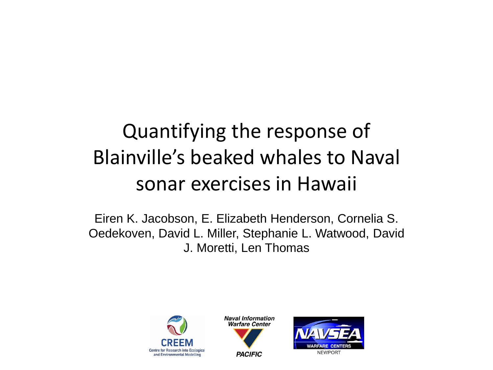#### Quantifying the response of Blainville's beaked whales to Naval sonar exercises in Hawaii

Eiren K. Jacobson, E. Elizabeth Henderson, Cornelia S. Oedekoven, David L. Miller, Stephanie L. Watwood, David J. Moretti, Len Thomas





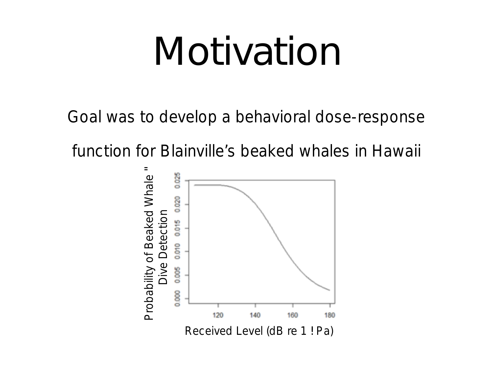## Motivation

Goal was to develop a behavioral dose-response

function for Blainville's beaked whales in Hawaii

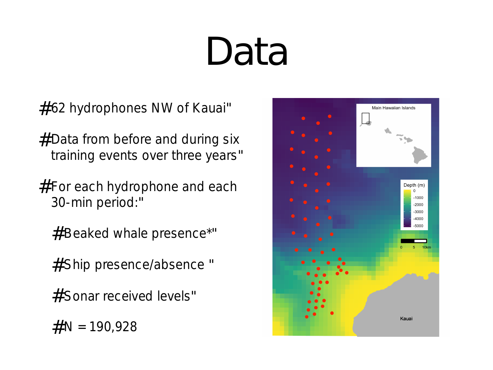# Data

- # 62 hydrophones NW of Kauai"
- # Data from before and during six training events over three years"
- $#$  For each hydrophone and each 30-min period:
	- # Beaked whale presence\*"
	- # Ship presence/absence "
	- # Sonar received levels"
	- $# N = 190,928$

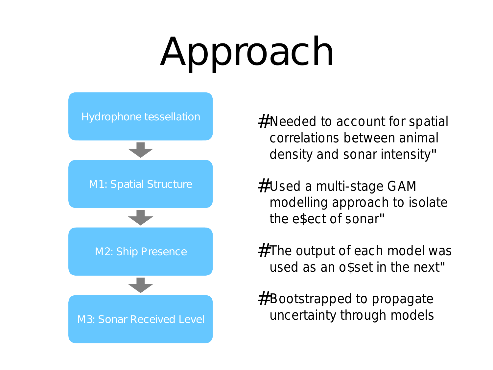# Approach



- # Needed to account for spatial correlations between animal density and sonar intensity"
- # Used a multi-stage GAM modelling approach to isolate the e\$ect of sonar"
- # The output of each model was used as an o\$set in the next"
- # Bootstrapped to propagate uncertainty through models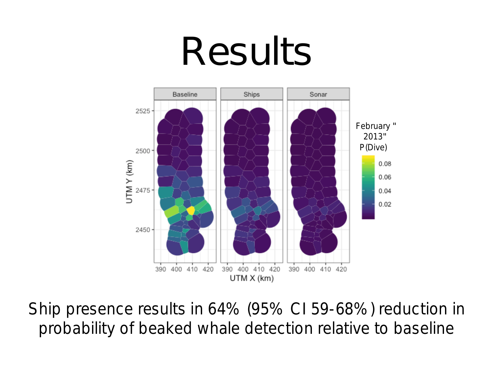## Results



Ship presence results in 64% (95% CI 59-68%) reduction in probability of beaked whale detection relative to baseline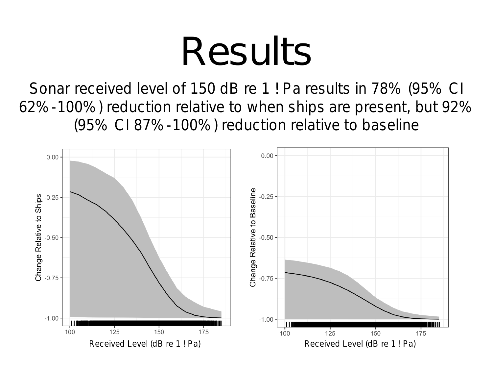## Results

Sonar received level of 150 dB re 1 ! Pa results in 78% (95% CI 62%-100%) reduction relative to when ships are present, but 92% (95% CI 87%-100%) reduction relative to baseline